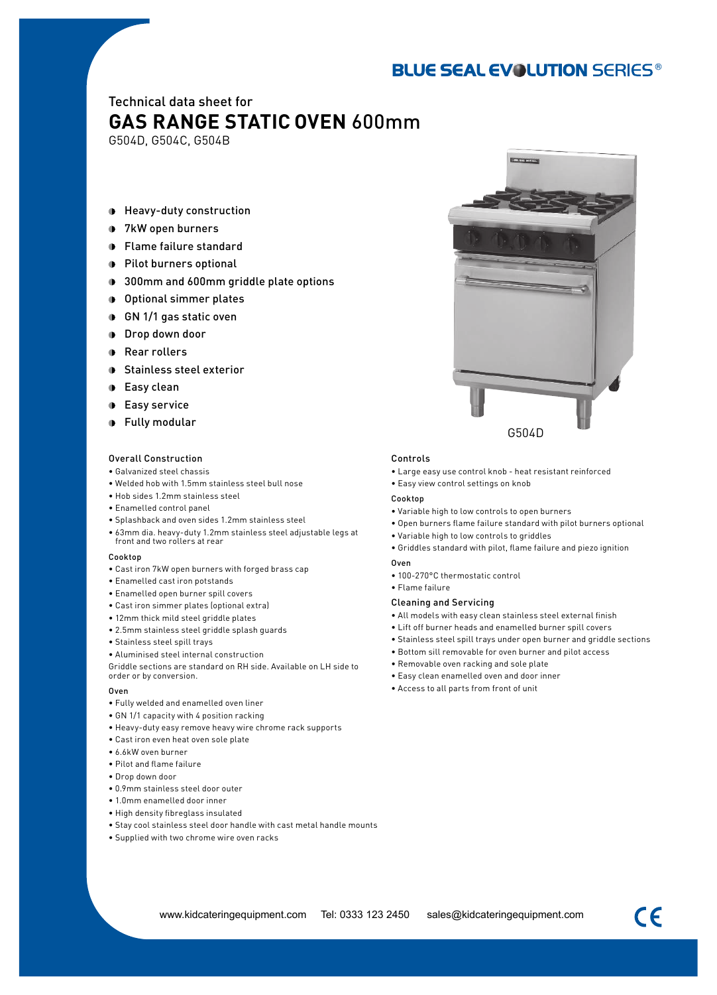## **BLUE SEAL EVOLUTION SERIES®**

## Technical data sheet for **GAS RANGE STATIC OVEN** 600mm

G504D, G504C, G504B

- Heavy-duty construction
- 7kW open burners
- Flame failure standard
- **Pilot burners optional**
- **1** 300mm and 600mm griddle plate options
- Optional simmer plates
- GN 1/1 gas static oven
- **Drop down door**
- **Rear rollers**
- **Stainless steel exterior**
- **D** Easy clean
- **D** Easy service
- **•** Fully modular

#### Overall Construction

- • Galvanized steel chassis
- • Welded hob with 1.5mm stainless steel bull nose
- • Hob sides 1.2mm stainless steel
- Enamelled control panel
- • Splashback and oven sides 1.2mm stainless steel
- • 63mm dia. heavy-duty 1.2mm stainless steel adjustable legs at front and two rollers at rear

#### Cooktop

- Cast iron 7kW open burners with forged brass cap
- Enamelled cast iron potstands
- Enamelled open burner spill covers
- Cast iron simmer plates (optional extra)
- 12mm thick mild steel griddle plates
- • 2.5mm stainless steel griddle splash guards
- • Stainless steel spill trays
- • Aluminised steel internal construction

Griddle sections are standard on RH side. Available on LH side to order or by conversion.

#### Oven

- Fully welded and enamelled oven liner
- GN 1/1 capacity with 4 position racking
- Heavy-duty easy remove heavy wire chrome rack supports
- Cast iron even heat oven sole plate
- • 6.6kW oven burner
- Pilot and flame failure
- • Drop down door
- • 0.9mm stainless steel door outer
- 1.0mm enamelled door inner
- High density fibreglass insulated
- Stay cool stainless steel door handle with cast metal handle mounts
- Supplied with two chrome wire oven racks

#### Controls

- Large easy use control knob heat resistant reinforced
- Easy view control settings on knob

#### Cookton

- Variable high to low controls to open burners
- Open burners flame failure standard with pilot burners optional
- Variable high to low controls to griddles
- • Griddles standard with pilot, flame failure and piezo ignition

#### Oven

- 100-270°C thermostatic control
- • Flame failure

#### Cleaning and Servicing

- All models with easy clean stainless steel external finish
- Lift off burner heads and enamelled burner spill covers
- Stainless steel spill trays under open burner and griddle sections
- Bottom sill removable for oven burner and pilot access
- Removable oven racking and sole plate
- Easy clean enamelled oven and door inner
- • Access to all parts from front of unit